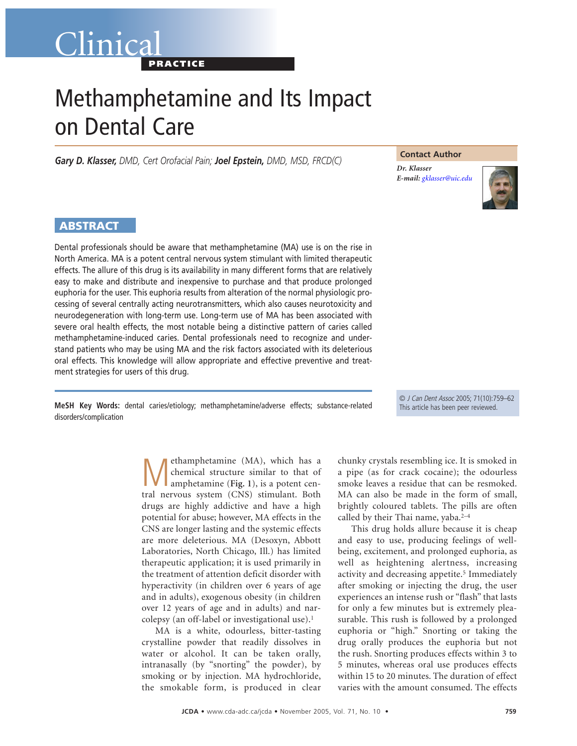## Clinica **PRACTICE**

# Methamphetamine and Its Impact on Dental Care

*Gary D. Klasser, DMD, Cert Orofacial Pain; Joel Epstein, DMD, MSD, FRCD(C)*

**Contact Author**

*Dr. Klasser E-mail: [gklasser@uic.edu](mailto:gklasser@uic.edu)*



### **ABSTRACT**

Dental professionals should be aware that methamphetamine (MA) use is on the rise in North America. MA is a potent central nervous system stimulant with limited therapeutic effects. The allure of this drug is its availability in many different forms that are relatively easy to make and distribute and inexpensive to purchase and that produce prolonged euphoria for the user. This euphoria results from alteration of the normal physiologic processing of several centrally acting neurotransmitters, which also causes neurotoxicity and neurodegeneration with long-term use. Long-term use of MA has been associated with severe oral health effects, the most notable being a distinctive pattern of caries called methamphetamine-induced caries. Dental professionals need to recognize and understand patients who may be using MA and the risk factors associated with its deleterious oral effects. This knowledge will allow appropriate and effective preventive and treatment strategies for users of this drug.

**MeSH Key Words:** dental caries/etiology; methamphetamine/adverse effects; substance-related disorders/complication

© J Can Dent Assoc 2005; 71(10):759–62 This article has been peer reviewed.

**M** ethamphetamine (MA), which has a<br>chemical structure similar to that of<br>amphetamine (Fig. 1), is a potent cen-<br>trel pervous system (CNS) stimulant. Both chemical structure similar to that of tral nervous system (CNS) stimulant. Both drugs are highly addictive and have a high potential for abuse; however, MA effects in the CNS are longer lasting and the systemic effects are more deleterious. MA (Desoxyn, Abbott Laboratories, North Chicago, Ill.) has limited therapeutic application; it is used primarily in the treatment of attention deficit disorder with hyperactivity (in children over 6 years of age and in adults), exogenous obesity (in children over 12 years of age and in adults) and narcolepsy (an off-label or investigational use).1

MA is a white, odourless, bitter-tasting crystalline powder that readily dissolves in water or alcohol. It can be taken orally, intranasally (by "snorting" the powder), by smoking or by injection. MA hydrochloride, the smokable form, is produced in clear

chunky crystals resembling ice. It is smoked in a pipe (as for crack cocaine); the odourless smoke leaves a residue that can be resmoked. MA can also be made in the form of small, brightly coloured tablets. The pills are often called by their Thai name, yaba.<sup>2-4</sup>

This drug holds allure because it is cheap and easy to use, producing feelings of wellbeing, excitement, and prolonged euphoria, as well as heightening alertness, increasing activity and decreasing appetite.<sup>5</sup> Immediately after smoking or injecting the drug, the user experiences an intense rush or "flash" that lasts for only a few minutes but is extremely pleasurable. This rush is followed by a prolonged euphoria or "high." Snorting or taking the drug orally produces the euphoria but not the rush. Snorting produces effects within 3 to 5 minutes, whereas oral use produces effects within 15 to 20 minutes. The duration of effect varies with the amount consumed. The effects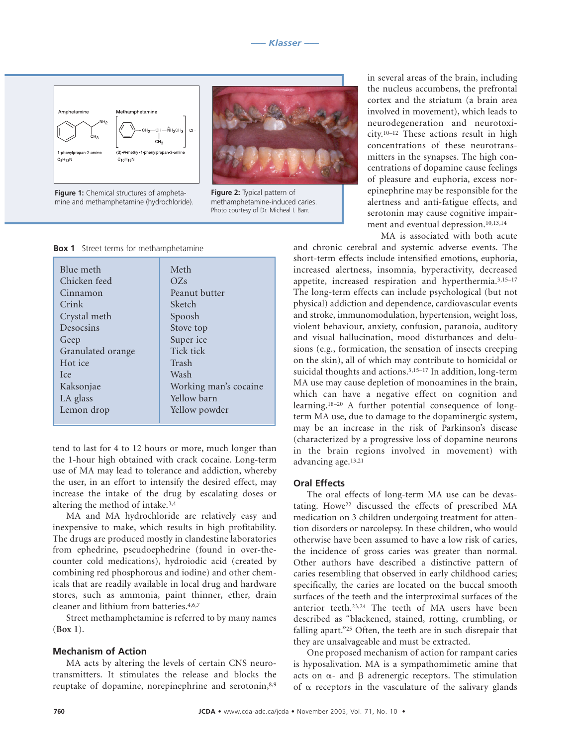

**Figure 1:** Chemical structures of amphetamine and methamphetamine (hydrochloride).



**Figure 2:** Typical pattern of methamphetamine-induced caries. Photo courtesy of Dr. Micheal I. Barr.

#### **Box 1** Street terms for methamphetamine

| Blue meth         | Meth                  |
|-------------------|-----------------------|
|                   |                       |
| Chicken feed      | OZs                   |
| Cinnamon          | Peanut butter         |
| Crink             | Sketch                |
| Crystal meth      | Spoosh                |
| Desocsins         | Stove top             |
| Geep              | Super ice             |
| Granulated orange | Tick tick             |
| Hot ice           | Trash                 |
| Ice               | Wash                  |
| Kaksonjae         | Working man's cocaine |
| LA glass          | Yellow barn           |
| Lemon drop        | Yellow powder         |
|                   |                       |

tend to last for 4 to 12 hours or more, much longer than the 1-hour high obtained with crack cocaine. Long-term use of MA may lead to tolerance and addiction, whereby the user, in an effort to intensify the desired effect, may increase the intake of the drug by escalating doses or altering the method of intake.3,4

MA and MA hydrochloride are relatively easy and inexpensive to make, which results in high profitability. The drugs are produced mostly in clandestine laboratories from ephedrine, pseudoephedrine (found in over-thecounter cold medications), hydroiodic acid (created by combining red phosphorous and iodine) and other chemicals that are readily available in local drug and hardware stores, such as ammonia, paint thinner, ether, drain cleaner and lithium from batteries.4,6,7

Street methamphetamine is referred to by many names (**Box 1**).

#### **Mechanism of Action**

MA acts by altering the levels of certain CNS neurotransmitters. It stimulates the release and blocks the reuptake of dopamine, norepinephrine and serotonin,<sup>8,9</sup> in several areas of the brain, including the nucleus accumbens, the prefrontal cortex and the striatum (a brain area involved in movement), which leads to neurodegeneration and neurotoxicity.10–12 These actions result in high concentrations of these neurotransmitters in the synapses. The high concentrations of dopamine cause feelings of pleasure and euphoria, excess norepinephrine may be responsible for the alertness and anti-fatigue effects, and serotonin may cause cognitive impairment and eventual depression.10,13,14

MA is associated with both acute

and chronic cerebral and systemic adverse events. The short-term effects include intensified emotions, euphoria, increased alertness, insomnia, hyperactivity, decreased appetite, increased respiration and hyperthermia.3,15–17 The long-term effects can include psychological (but not physical) addiction and dependence, cardiovascular events and stroke, immunomodulation, hypertension, weight loss, violent behaviour, anxiety, confusion, paranoia, auditory and visual hallucination, mood disturbances and delusions (e.g., formication, the sensation of insects creeping on the skin), all of which may contribute to homicidal or suicidal thoughts and actions.3,15–17 In addition, long-term MA use may cause depletion of monoamines in the brain, which can have a negative effect on cognition and learning.18–20 A further potential consequence of longterm MA use, due to damage to the dopaminergic system, may be an increase in the risk of Parkinson's disease (characterized by a progressive loss of dopamine neurons in the brain regions involved in movement) with advancing age.13,21

#### **Oral Effects**

The oral effects of long-term MA use can be devastating. Howe<sup>22</sup> discussed the effects of prescribed MA medication on 3 children undergoing treatment for attention disorders or narcolepsy. In these children, who would otherwise have been assumed to have a low risk of caries, the incidence of gross caries was greater than normal. Other authors have described a distinctive pattern of caries resembling that observed in early childhood caries; specifically, the caries are located on the buccal smooth surfaces of the teeth and the interproximal surfaces of the anterior teeth.23,24 The teeth of MA users have been described as "blackened, stained, rotting, crumbling, or falling apart."25 Often, the teeth are in such disrepair that they are unsalvageable and must be extracted.

One proposed mechanism of action for rampant caries is hyposalivation. MA is a sympathomimetic amine that acts on  $\alpha$ - and  $\beta$  adrenergic receptors. The stimulation of  $\alpha$  receptors in the vasculature of the salivary glands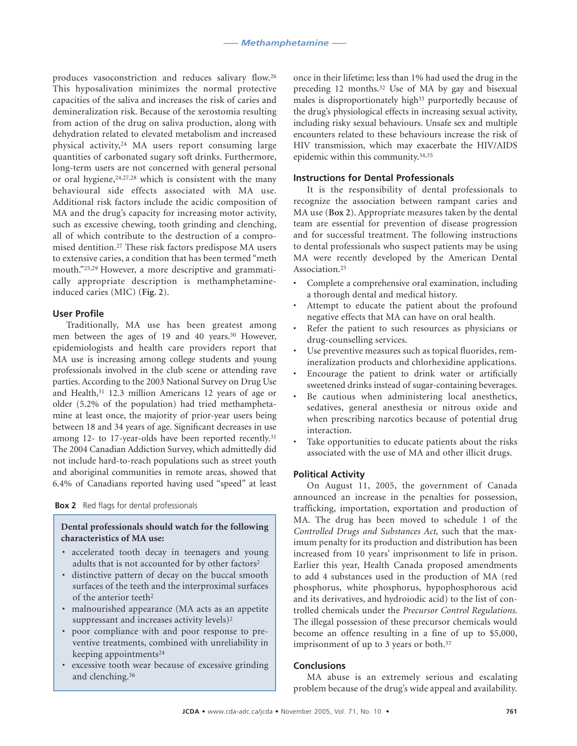produces vasoconstriction and reduces salivary flow.26 This hyposalivation minimizes the normal protective capacities of the saliva and increases the risk of caries and demineralization risk. Because of the xerostomia resulting from action of the drug on saliva production, along with dehydration related to elevated metabolism and increased physical activity,24 MA users report consuming large quantities of carbonated sugary soft drinks. Furthermore, long-term users are not concerned with general personal or oral hygiene,24,27,28 which is consistent with the many behavioural side effects associated with MA use. Additional risk factors include the acidic composition of MA and the drug's capacity for increasing motor activity, such as excessive chewing, tooth grinding and clenching, all of which contribute to the destruction of a compromised dentition.27 These risk factors predispose MA users to extensive caries, a condition that has been termed "meth mouth."25,29 However, a more descriptive and grammatically appropriate description is methamphetamineinduced caries (MIC) (**Fig. 2**).

#### **User Profile**

Traditionally, MA use has been greatest among men between the ages of 19 and 40 years.<sup>30</sup> However, epidemiologists and health care providers report that MA use is increasing among college students and young professionals involved in the club scene or attending rave parties. According to the 2003 National Survey on Drug Use and Health,31 12.3 million Americans 12 years of age or older (5.2% of the population) had tried methamphetamine at least once, the majority of prior-year users being between 18 and 34 years of age. Significant decreases in use among 12- to 17-year-olds have been reported recently.<sup>31</sup> The 2004 Canadian Addiction Survey, which admittedly did not include hard-to-reach populations such as street youth and aboriginal communities in remote areas, showed that 6.4% of Canadians reported having used "speed" at least

#### **Box 2** Red flags for dental professionals

#### **Dental professionals should watch for the following characteristics of MA use:**

- accelerated tooth decay in teenagers and young adults that is not accounted for by other factors<sup>2</sup>
- distinctive pattern of decay on the buccal smooth surfaces of the teeth and the interproximal surfaces of the anterior teeth2
- malnourished appearance (MA acts as an appetite suppressant and increases activity levels)<sup>2</sup>
- poor compliance with and poor response to preventive treatments, combined with unreliability in keeping appointments24
- excessive tooth wear because of excessive grinding and clenching.36

once in their lifetime; less than 1% had used the drug in the preceding 12 months.32 Use of MA by gay and bisexual males is disproportionately high<sup>33</sup> purportedly because of the drug's physiological effects in increasing sexual activity, including risky sexual behaviours. Unsafe sex and multiple encounters related to these behaviours increase the risk of HIV transmission, which may exacerbate the HIV/AIDS epidemic within this community.34,35

#### **Instructions for Dental Professionals**

It is the responsibility of dental professionals to recognize the association between rampant caries and MA use (**Box 2**). Appropriate measures taken by the dental team are essential for prevention of disease progression and for successful treatment. The following instructions to dental professionals who suspect patients may be using MA were recently developed by the American Dental Association.25

- Complete a comprehensive oral examination, including a thorough dental and medical history.
- Attempt to educate the patient about the profound negative effects that MA can have on oral health.
- Refer the patient to such resources as physicians or drug-counselling services.
- Use preventive measures such as topical fluorides, remineralization products and chlorhexidine applications.
- Encourage the patient to drink water or artificially sweetened drinks instead of sugar-containing beverages.
- Be cautious when administering local anesthetics, sedatives, general anesthesia or nitrous oxide and when prescribing narcotics because of potential drug interaction.
- Take opportunities to educate patients about the risks associated with the use of MA and other illicit drugs.

#### **Political Activity**

On August 11, 2005, the government of Canada announced an increase in the penalties for possession, trafficking, importation, exportation and production of MA. The drug has been moved to schedule 1 of the *Controlled Drugs and Substances Act*, such that the maximum penalty for its production and distribution has been increased from 10 years' imprisonment to life in prison. Earlier this year, Health Canada proposed amendments to add 4 substances used in the production of MA (red phosphorus, white phosphorus, hypophosphorous acid and its derivatives, and hydroiodic acid) to the list of controlled chemicals under the *Precursor Control Regulations*. The illegal possession of these precursor chemicals would become an offence resulting in a fine of up to \$5,000, imprisonment of up to 3 years or both.<sup>37</sup>

#### **Conclusions**

MA abuse is an extremely serious and escalating problem because of the drug's wide appeal and availability.